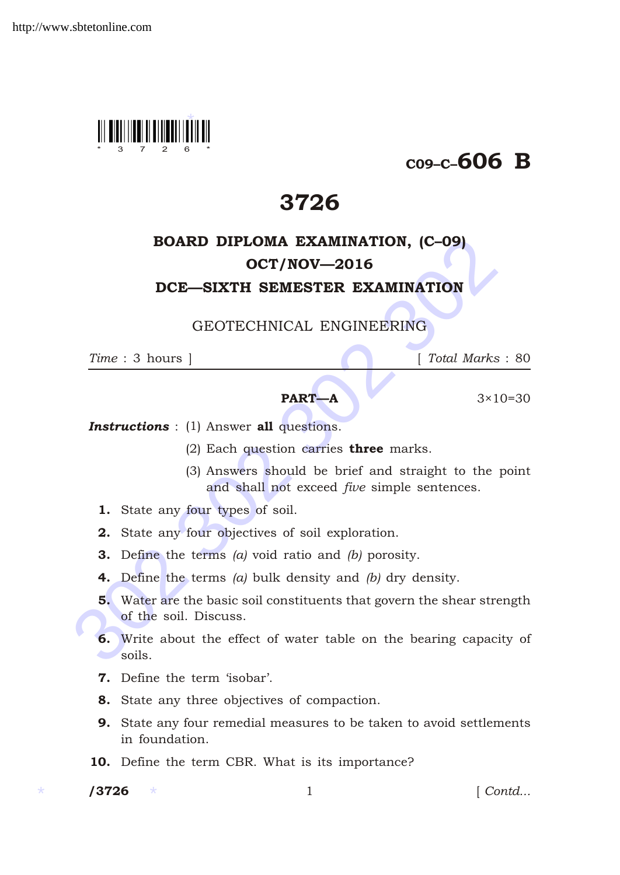

# C09–C–606 B

# 3726

# **EXAMINATION, (C-09)**<br> **OCT/NOV—2016**<br> **DCE—SIXTH SEMESTER EXAMINATION**<br> **CEOTECHNICAL ENGINEERING**<br>
Time : 3 hours | Total Marks :<br> **PART—A** 3×10-<br> **FART—A** 3×10-<br> **FART—A** 3×10-<br> **FART—A** 3×10-<br> **FART—A** 3×10-<br> **FART—A** BOARD DIPLOMA EXAMINATION, (C–09) OCT/NOV—2016 DCE—SIXTH SEMESTER EXAMINATION

### GEOTECHNICAL ENGINEERING

*Time* : 3 hours ] [ *Total Marks* : 80

## **PART—A**  $3 \times 10 = 30$

### **Instructions** : (1) Answer all questions.

- (2) Each question carries **three** marks.
- (3) Answers should be brief and straight to the point and shall not exceed *five* simple sentences.
- 1. State any four types of soil.
- 2. State any four objectives of soil exploration.
- 3. Define the terms *(a)* void ratio and *(b)* porosity.
- 4. Define the terms *(a)* bulk density and *(b)* dry density.
- 5. Water are the basic soil constituents that govern the shear strength of the soil. Discuss.
- 6. Write about the effect of water table on the bearing capacity of soils.
- 7. Define the term 'isobar'.
- 8. State any three objectives of compaction.
- 9. State any four remedial measures to be taken to avoid settlements in foundation.
- 10. Define the term CBR. What is its importance?

/3726

/3726 1 [ *Contd...*